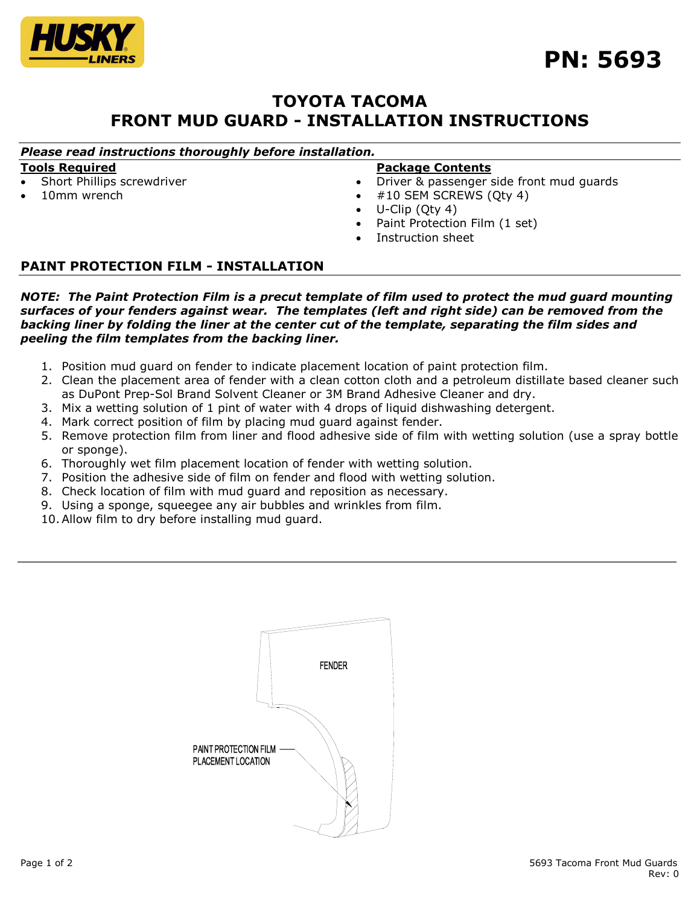

# **TOYOTA TACOMA FRONT MUD GUARD - INSTALLATION INSTRUCTIONS**

### *Please read instructions thoroughly before installation.*

#### **Tools Required**

- Short Phillips screwdriver
- 10mm wrench

#### **Package Contents**

- Driver & passenger side front mud guards
- #10 SEM SCREWS (Qty 4)
- U-Clip (Qty 4)
- Paint Protection Film (1 set)
- Instruction sheet

## **PAINT PROTECTION FILM - INSTALLATION**

*NOTE: The Paint Protection Film is a precut template of film used to protect the mud guard mounting surfaces of your fenders against wear. The templates (left and right side) can be removed from the backing liner by folding the liner at the center cut of the template, separating the film sides and peeling the film templates from the backing liner.*

- 1. Position mud guard on fender to indicate placement location of paint protection film.
- 2. Clean the placement area of fender with a clean cotton cloth and a petroleum distillate based cleaner such as DuPont Prep-Sol Brand Solvent Cleaner or 3M Brand Adhesive Cleaner and dry.
- 3. Mix a wetting solution of 1 pint of water with 4 drops of liquid dishwashing detergent.
- 4. Mark correct position of film by placing mud guard against fender.
- 5. Remove protection film from liner and flood adhesive side of film with wetting solution (use a spray bottle or sponge).
- 6. Thoroughly wet film placement location of fender with wetting solution.
- 7. Position the adhesive side of film on fender and flood with wetting solution.
- 8. Check location of film with mud guard and reposition as necessary.
- 9. Using a sponge, squeegee any air bubbles and wrinkles from film.
- 10.Allow film to dry before installing mud guard.